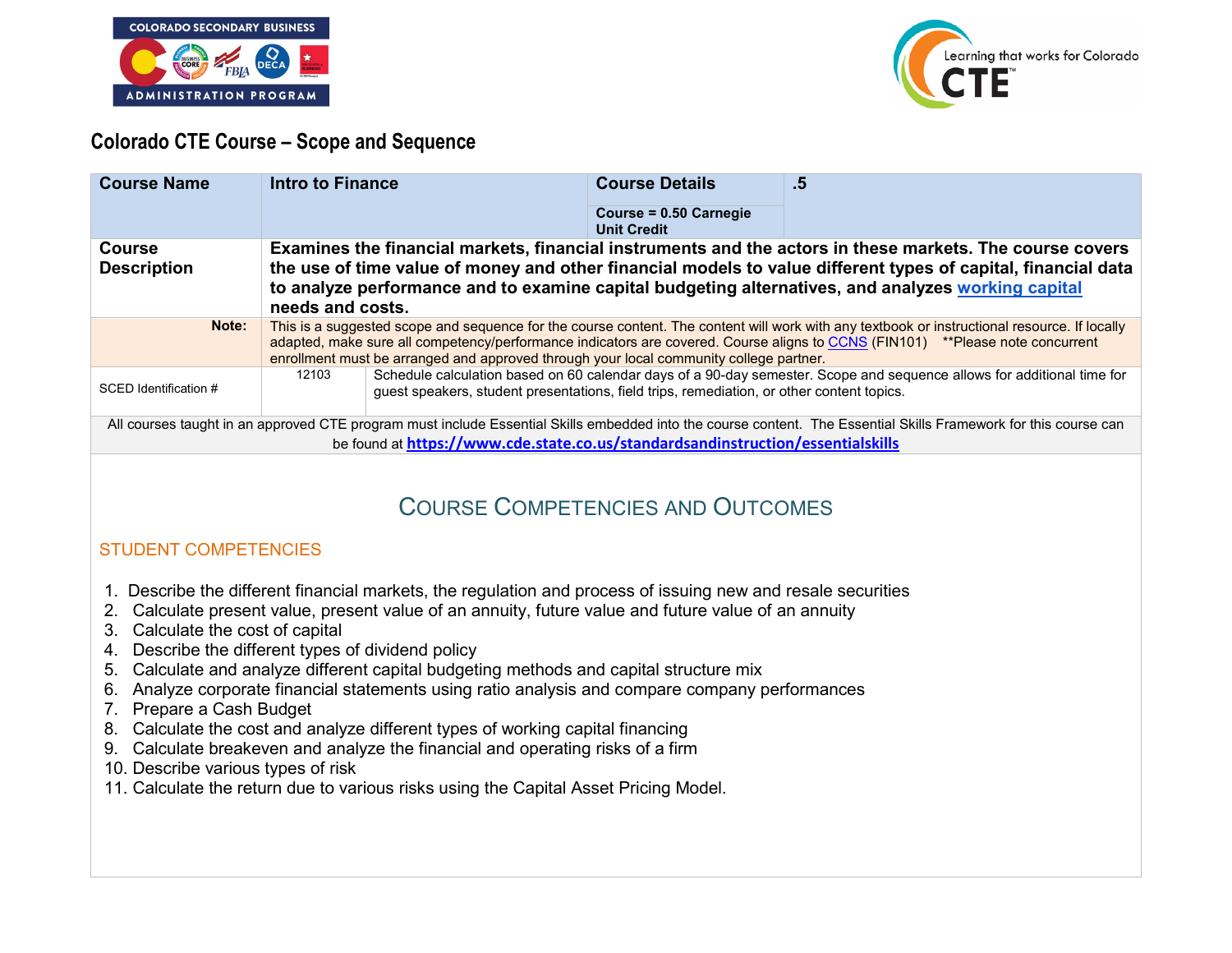



# **Colorado CTE Course – Scope and Sequence**

| <b>Course Name</b>                                                                                                                                                                                                                                                                                                                                                                                                                                                                                                | <b>Intro to Finance</b>                                                                                                                                                                                                                                                                                                                                                 | <b>Course Details</b>                        | .5 |
|-------------------------------------------------------------------------------------------------------------------------------------------------------------------------------------------------------------------------------------------------------------------------------------------------------------------------------------------------------------------------------------------------------------------------------------------------------------------------------------------------------------------|-------------------------------------------------------------------------------------------------------------------------------------------------------------------------------------------------------------------------------------------------------------------------------------------------------------------------------------------------------------------------|----------------------------------------------|----|
|                                                                                                                                                                                                                                                                                                                                                                                                                                                                                                                   |                                                                                                                                                                                                                                                                                                                                                                         | Course = 0.50 Carnegie<br><b>Unit Credit</b> |    |
| <b>Course</b><br><b>Description</b>                                                                                                                                                                                                                                                                                                                                                                                                                                                                               | Examines the financial markets, financial instruments and the actors in these markets. The course covers<br>the use of time value of money and other financial models to value different types of capital, financial data<br>to analyze performance and to examine capital budgeting alternatives, and analyzes working capital<br>needs and costs.                     |                                              |    |
| Note:                                                                                                                                                                                                                                                                                                                                                                                                                                                                                                             | This is a suggested scope and sequence for the course content. The content will work with any textbook or instructional resource. If locally<br>adapted, make sure all competency/performance indicators are covered. Course aligns to CCNS (FIN101) **Please note concurrent<br>enrollment must be arranged and approved through your local community college partner. |                                              |    |
| SCED Identification #                                                                                                                                                                                                                                                                                                                                                                                                                                                                                             | Schedule calculation based on 60 calendar days of a 90-day semester. Scope and sequence allows for additional time for<br>12103<br>guest speakers, student presentations, field trips, remediation, or other content topics.                                                                                                                                            |                                              |    |
| All courses taught in an approved CTE program must include Essential Skills embedded into the course content. The Essential Skills Framework for this course can<br>be found at https://www.cde.state.co.us/standardsandinstruction/essentialskills                                                                                                                                                                                                                                                               |                                                                                                                                                                                                                                                                                                                                                                         |                                              |    |
| <b>COURSE COMPETENCIES AND OUTCOMES</b>                                                                                                                                                                                                                                                                                                                                                                                                                                                                           |                                                                                                                                                                                                                                                                                                                                                                         |                                              |    |
| <b>STUDENT COMPETENCIES</b>                                                                                                                                                                                                                                                                                                                                                                                                                                                                                       |                                                                                                                                                                                                                                                                                                                                                                         |                                              |    |
| 1. Describe the different financial markets, the regulation and process of issuing new and resale securities<br>Calculate present value, present value of an annuity, future value and future value of an annuity<br>2.<br>Calculate the cost of capital<br>3.<br>Describe the different types of dividend policy<br>Calculate and analyze different capital budgeting methods and capital structure mix<br>5.<br>6. Analyze corporate financial statements using ratio analysis and compare company performances |                                                                                                                                                                                                                                                                                                                                                                         |                                              |    |

- 7. Prepare a Cash Budget
- 8. Calculate the cost and analyze different types of working capital financing
- 9. Calculate breakeven and analyze the financial and operating risks of a firm
- 10. Describe various types of risk
- 11. Calculate the return due to various risks using the Capital Asset Pricing Model.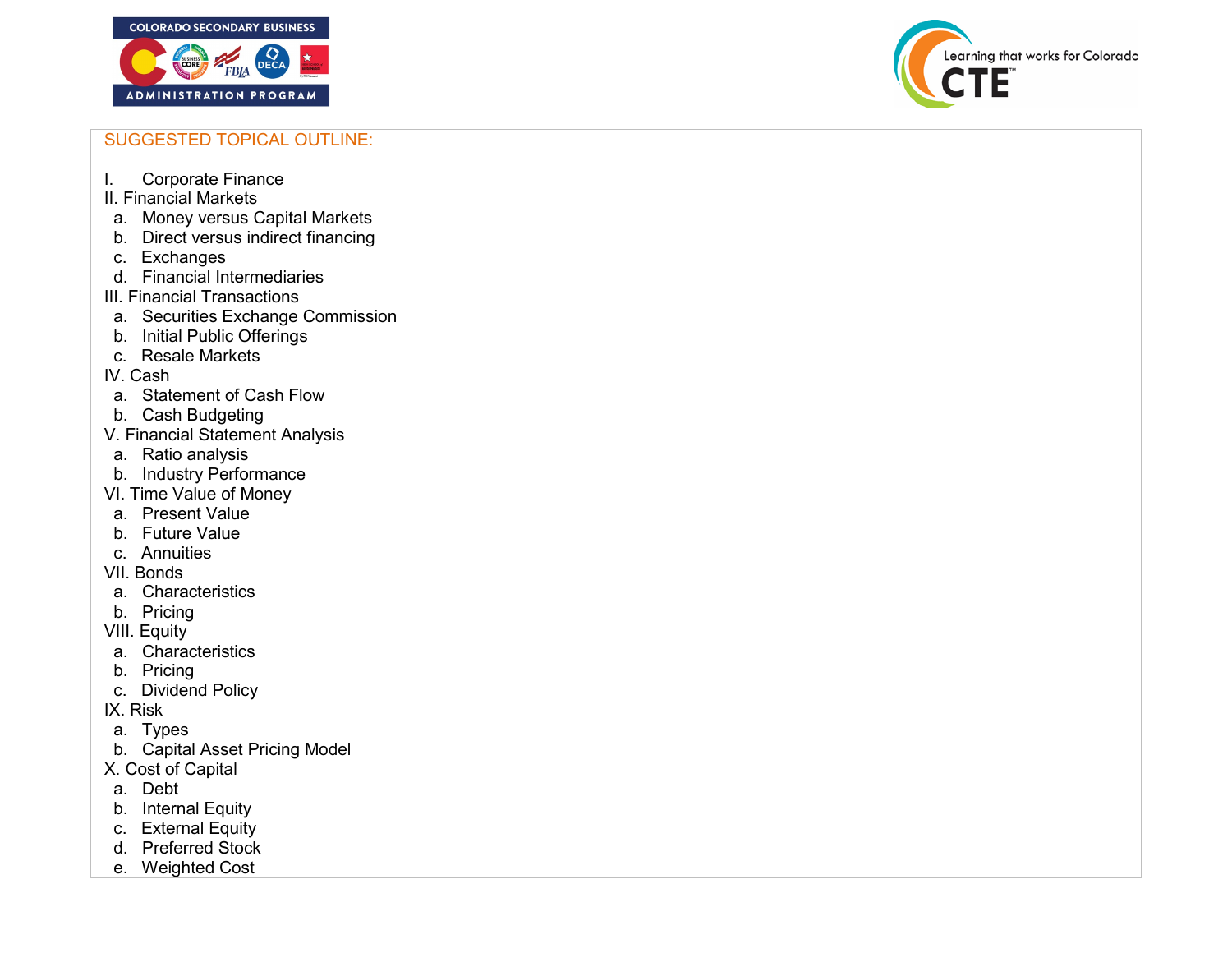

Learning that works for Colorado

## SUGGESTED TOPICAL OUTLINE:

- I. Corporate Finance
- II. Financial Markets
- a. Money versus Capital Markets
- b. Direct versus indirect financing
- c. Exchanges
- d. Financial Intermediaries
- III. Financial Transactions
- a. Securities Exchange Commission
- b. Initial Public Offerings
- c. Resale Markets
- IV. Cash
- a. Statement of Cash Flow
- b. Cash Budgeting
- V. Financial Statement Analysis
- a. Ratio analysis
- b. Industry Performance
- VI. Time Value of Money
- a. Present Value
- b. Future Value
- c. Annuities
- VII. Bonds
- a. Characteristics
- b. Pricing
- VIII. Equity
- a. Characteristics
- b. Pricing
- c. Dividend Policy
- IX. Risk
- a. Types
- b. Capital Asset Pricing Model
- X. Cost of Capital
- a. Debt
- b. Internal Equity
- c. External Equity
- d. Preferred Stock
- e. Weighted Cost